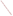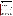**UNITED STATES ENVIRONMENTAL PROTECTION AGENCY** Office of Research and Development Washington, D.C. 20460



# **ENVIRONMENTAL TECHNOLOGY VERIFICATION PROGRAM VERIFICATION STATEMENT**

| <b>TECHNOLOGY TYPE:</b> | POLYCHLORINATED BIPHENYL (PCB) FIELD ANALYTICAL<br><b>TECHNIQUES</b>                    |
|-------------------------|-----------------------------------------------------------------------------------------|
| APPLICATION:            | <b>MEASUREMENT OF PCBs IN SOILS AND SOLVENT EXTRACTS</b>                                |
| TECHNOLOGY NAME:        | <b>EnviroGard PCB TEST KIT</b>                                                          |
| COMPANY:<br>ADDRESS:    | STRATEGIC DIAGNOSTICS INC.<br><b>111 PENCADER DRIVE</b><br><b>NEWARK, DE 19702-3322</b> |
| PHONE:                  | (302) 456-6789                                                                          |

The U.S. Environmental Protection Agency (EPA) has created a program to facilitate the deployment of innovative technologies through performance verification and information dissemination. The goal of the Environmental Technology Verification (ETV) Program is to further environmental protection by substantially accelerating the acceptance and use of improved and more cost-effective technologies. The ETV Program is intended to assist and inform those involved in the design, distribution, permitting, and purchase of environmental technologies. This document summarizes the results of a demonstration of the Strategic Diagnostics Inc. (SDI) EnviroGard PCB test kit.

## **PROGRAM OPERATION**

EPA, in partnership with recognized testing organizations, objectively and systematically evaluates the performance of innovative technologies. Together, with the full participation of the technology developer, they develop plans, conduct tests, collect and analyze data, and report findings. The evaluations are conducted according to a rigorous demonstration plan and established protocols for quality assurance. EPA's National Exposure Research Laboratory, which conducts demonstrations of field characterization and monitoring technologies, with the support of the U.S. Department of Energy's (DOE) Environmental Management (EM) program, selected Oak Ridge National Laboratory (ORNL) as the testing organization for the performance verification of polychlorinated biphenyls (PCBs) field analytical techniques.

## **DEMONSTRATION DESCRIPTION**

In July 1997, the performance of six PCB field analytical techniques was determined under field conditions. Each technology was independently evaluated by comparing field analysis results with those obtained using approved reference methods. Performance evaluation (PE) samples were also used to assess independently the accuracy and comparability of each technology.

The demonstration was designed to detect and measure PCBs in soil and solvent extracts. The demonstration was conducted at ORNL in Oak Ridge, Tennessee, from July 22 through July 29, 1997. The study was conducted under two environmental conditions. The first site was outdoors, with naturally fluctuating temperatures and relative humidity conditions. The second site was inside a controlled environmental chamber, with generally cooler temperatures and lower relative humidities. Multiple soil types, collected from sites in Ohio, Kentucky, and Tennessee, were analyzed in this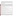study. Solutions of PCBs were also analyzed to simulate extracted surface wipe samples. The results of the soil and extract analyses conducted under field conditions by the technology were compared with results from analyses of homogenous replicate samples conducted by conventional EPA SW-846 methodology in an approved reference laboratory. Details of the demonstration, including a data summary and discussion of results, may be found in the report entitled *Environmental Technology Verification Report: Immunoassay Kit, Strategic Diagnostics Inc., EnviroGard PCB Test Kit,,* EPA/600/R-98/113.

# **TECHNOLOGY DESCRIPTION**

The EnviroGard PCB test kit is a competitive binding enzyme immunoassay that performs rapid, interval testing for PCBs in soils and solutions at specified action levels of 1, 5, 10, and 50 parts per million (ppm). These results are reported in intervals (e.g.,  $\lt 1$  ppm, 1 to 5 ppm, etc.) rather than in specific quantities (e.g., 6.7 ppm). The test kit is standardized using Aroclor 1248, but it can also detect Aroclors 1016, 1242, 1254, and 1260. The following items are needed to run a test: the EnviroGard PCB test kit, the Soil Extraction Bottle kit, the equipment contained in the Soil Field Lab, methanol, and water. The test procedure entails collecting a 5-g soil sample and extracting the PCBs from it using methanol. To initiate the PCB test, PCB-enzyme conjugate is added to the antibody-coated test tubes. The soil extract sample is then added to the test tube. After a 15-min incubation period, the tubes are rinsed and a color developing solution is added. Color development is inversely related to the PCB concentration (e.g. the darker the color, the less analyte PCB is present in the sample). PCBs are detected using a photometer that measures the absorbance of each tube.

# **VERIFICATION OF PERFORMANCE**

The following performance characteristics of the EnviroGard PCB test kit were observed:

*Throughput:* Throughput was 18 samples/hour under outdoor conditions and 9 to 10 samples/hour under chamber conditions. This rate included sample preparation and analysis.

*Ease of Use:* Three operators analyzed samples during the demonstration, but the technology can be run by a single trained operator**.** Minimal training (2 to 4 h) is required to operate the EnviroGard kit, provided the user has a fundamental understanding of basic chemical and field analytical techniques.

*Completeness:* The EnviroGard kit generated results for all 232 PCB samples for a completeness of 100%.

*Blank results:* All of the blank soil samples were reported as the lowest reporting interval, which included zero; therefore, the percentage of false positive results was 0%. One false positive result (13%) was reported for the extract samples. The EnviroGard kit reported no false negative results.

*Precision:* The overall precision—based on the percentage of combined sample sets where all four replicates were reported as the same interval—was 38% for the PE soils, 47% for the environmental soils, and 67% for the extracts.

*Accuracy:* Accuracy was assessed using PE soil and extract samples. Accuracy, defined as the percentage of EnviroGard results that agreed with the accepted concentration, was 51% for PE soils and 58% for extracts. In general, the percentage of samples that was biased high was much greater (47% for PE soils and 38% for extracts) than the percentage biased low (1% for PE soils and 4% for extracts).

*Comparability:* Comparability, like accuracy, was defined as the percentage of results that agreed with, was above (i.e., biased high), or was below (i.e., biased low) the reference laboratory result. The percentage of samples that agreed with the reference laboratory results was 53% for all soils (PE and environmental) and 63% for extracts. The percentage of samples that was biased high was again much greater (45% for soils and 38% for extracts) than the percentage that was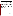biased low (2% for soils and 0% for extracts).

*Regulatory Decision-making:* One objective of this demonstration was to assess the technology's ability to perform at regulatory decision-making levels for PCBs, specifically 50 ppm for soils and 100  $\mu$ g/100cm<sup>2</sup> for surface wipes. For PE and environmental soil samples in the range of 40 to 60 ppm, 39% of the EnviroGard results agreed with the reference laboratory. In contrast, 59% were biased high and 2% were biased low. For extract samples representing surface wipe sample concentrations of 100  $\mu$ g/100 cm<sup>2</sup> and 1000  $\mu$ g/100 cm<sup>2</sup> (assuming a 100cm<sup>2</sup> wipe sample), 63% of the EnviroGard results agreed with the extract spike concentration. In comparison, the percentage of extract samples that was biased high was 38%, and the percentage of samples that was biased low was 4%.

*Data quality levels:* The performance of the EnviroGard PCB test kit was characterized as biased and imprecise about 50% of the time, because nearly half of the data were biased relative to the accepted concentration values (in terms of accuracy) and had replicate results that were not reported as the same interval (in terms of precision). It should be noted that there was an increased likelihood of results being biased high as a result of the conservatism that the manufacturer has incorporated into the calculation of results.

The results of the demonstration show that the EnviroGard PCB test kit can provide useful, cost-effective data for environmental problem-solving and decision-making. Undoubtedly, it will be employed in a variety of applications, ranging from serving as a complement to data generated in a fixed analytical laboratory to generating data that will stand alone in the decision-making process. As with any technology selection, the user must determine if this technology is appropriate for the application and the project data quality objectives. For more information on this and other verified technologies, visit the ETV web site at *http://www.epa.gov/etv*.

Gary J. Foley, Ph.D. **Director** National Exposure Research Laboratory Office of Research and Development

**NOTICE**: EPA verifications are based on an evaluation of technology performance under specific, predetermined criteria and the appropriate quality assurance procedures. EPA makes no expressed or implied warranties as to the performance of the technology and does not certify that a technology will always, under circumstances other than those tested, operate at the levels verified. The end user is solely responsible for complying with any and all applicable Federal, State, and Local requirements.